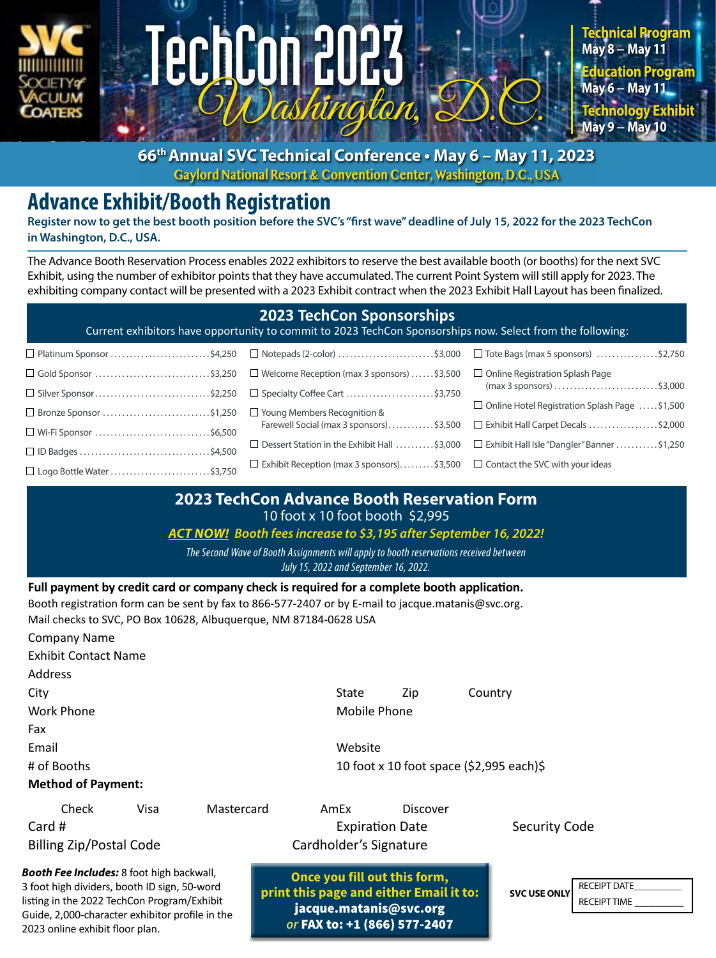



**66th Annual SVC Technical Conference • May 6 – May 11, 2023 Gaylord National Resort & Convention Center, Washington, D.C., USA**

# **Advance Exhibit/Booth Registration**

**Register now to get the best booth position before the SVC's "first wave" deadline of July 15, 2022 for the 2023 TechCon in Washington, D.C., USA.** 

TechCon 2023

The Advance Booth Reservation Process enables 2022 exhibitors to reserve the best available booth (or booths) for the next SVC Exhibit, using the number of exhibitor points that they have accumulated. The current Point System will still apply for 2023. The exhibiting company contact will be presented with a 2023 Exhibit contract when the 2023 Exhibit Hall Layout has been finalized.

### **2023 TechCon Sponsorships**

Current exhibitors have opportunity to commit to 2023 TechCon Sponsorships now. Select from the following:

| $\Box$ Gold Sponsor \$3,250                                       | □ Welcome Reception (max 3 sponsors) $\dots$ \$3,500                                    | $\Box$ Online Registration Splash Page                                                               |
|-------------------------------------------------------------------|-----------------------------------------------------------------------------------------|------------------------------------------------------------------------------------------------------|
| $\Box$ Silver Sponsor\$2,250 $\Box$ Specialty Coffee Cart \$3,750 |                                                                                         | $(max 3 sponsors)$ \$3,000                                                                           |
| $\Box$ Bronze Sponsor \$1,250 $\Box$ Young Members Recognition &  |                                                                                         | $\Box$ Online Hotel Registration Splash Page \$1,500                                                 |
| $\Box$ Wi-Fi Sponsor \$6,500                                      |                                                                                         | Farewell Social (max 3 sponsors)\$3,500 □ Exhibit Hall Carpet Decals \$2,000                         |
|                                                                   |                                                                                         | $\Box$ Dessert Station in the Exhibit Hall \$3,000 $\Box$ Exhibit Hall Isle "Dangler" Banner \$1,250 |
| □ Logo Bottle Water \$3,750                                       | $\Box$ Exhibit Reception (max 3 sponsors)\$3,500 $\Box$ Contact the SVC with your ideas |                                                                                                      |

### **2023 TechCon Advance Booth Reservation Form** 10 foot x 10 foot booth \$2,995

#### *ACT NOW! Booth fees increase to \$3,195 after September 16, 2022!*

### *The Second Wave of Booth Assignments will apply to booth reservations received between*

*July 15, 2022 and September 16, 2022.*

**Full payment by credit card or company check is required for a complete booth application.** 

Booth registration form can be sent by fax to 866-577-2407 or by E-mail to [jacque.matanis@svc.org.](mailto:jacque.matanis%40svc.org?subject=) Mail checks to SVC, PO Box 10628, Albuquerque, NM 87184-0628 USA

| <b>Company Name</b>         |                                          |  |
|-----------------------------|------------------------------------------|--|
| <b>Exhibit Contact Name</b> |                                          |  |
| Address                     |                                          |  |
| City                        | State<br>Country<br>Zip                  |  |
| Work Phone                  | Mobile Phone                             |  |
| Fax                         |                                          |  |
| Email                       | Website                                  |  |
| # of Booths                 | 10 foot x 10 foot space (\$2,995 each)\$ |  |
|                             |                                          |  |

#### **Method of Payment:**

Check Visa Mastercard AmEx Discover Card # Security Code 3 A Expiration Date 3 A Security Code Billing Zip/Postal Code Cardholder's Signature

*Booth Fee Includes:* 8 foot high backwall, 3 foot high dividers, booth ID sign, 50-word listing in the 2022 TechCon Program/Exhibit Guide, 2,000-character exhibitor profile in the 2023 online exhibit floor plan.

**Once you fill out this form, print this page and either Email it to:** [jacque.matanis@svc.org](mailto:jacque.matanis%40svc.org?subject=) *or* FAX to: +1 (866) 577-2407

**SVC USE ONLY**

RECEIPT DATE\_\_\_\_\_\_\_\_\_\_ RECEIPT TIME